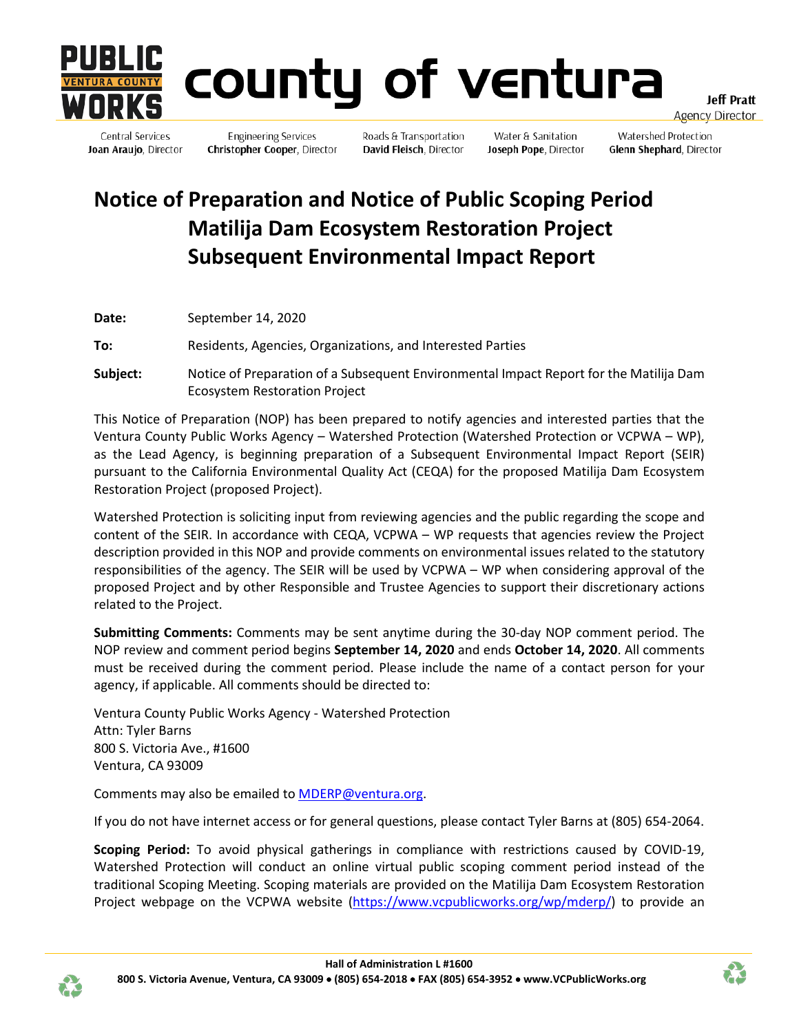

**Central Services** 

# county of ventura

**Jeff Pratt** <u>Agency Director</u>

**Engineering Services** Joan Araujo, Director Christopher Cooper, Director

Roads & Transportation David Fleisch, Director

Water & Sanitation Joseph Pope, Director

Watershed Protection Glenn Shephard, Director

## **Notice of Preparation and Notice of Public Scoping Period Matilija Dam Ecosystem Restoration Project Subsequent Environmental Impact Report**

**Date:** September 14, 2020

**To:** Residents, Agencies, Organizations, and Interested Parties

**Subject:** Notice of Preparation of a Subsequent Environmental Impact Report for the Matilija Dam Ecosystem Restoration Project

This Notice of Preparation (NOP) has been prepared to notify agencies and interested parties that the Ventura County Public Works Agency – Watershed Protection (Watershed Protection or VCPWA – WP), as the Lead Agency, is beginning preparation of a Subsequent Environmental Impact Report (SEIR) pursuant to the California Environmental Quality Act (CEQA) for the proposed Matilija Dam Ecosystem Restoration Project (proposed Project).

Watershed Protection is soliciting input from reviewing agencies and the public regarding the scope and content of the SEIR. In accordance with CEQA, VCPWA – WP requests that agencies review the Project description provided in this NOP and provide comments on environmental issues related to the statutory responsibilities of the agency. The SEIR will be used by VCPWA – WP when considering approval of the proposed Project and by other Responsible and Trustee Agencies to support their discretionary actions related to the Project.

**Submitting Comments:** Comments may be sent anytime during the 30-day NOP comment period. The NOP review and comment period begins **September 14, 2020** and ends **October 14, 2020**. All comments must be received during the comment period. Please include the name of a contact person for your agency, if applicable. All comments should be directed to:

Ventura County Public Works Agency - Watershed Protection Attn: Tyler Barns 800 S. Victoria Ave., #1600 Ventura, CA 93009

Comments may also be emailed to [MDERP@ventura.org.](mailto:tyler.barns@ventura.org)

If you do not have internet access or for general questions, please contact Tyler Barns at (805) 654-2064.

**Scoping Period:** To avoid physical gatherings in compliance with restrictions caused by COVID-19, Watershed Protection will conduct an online virtual public scoping comment period instead of the traditional Scoping Meeting. Scoping materials are provided on the Matilija Dam Ecosystem Restoration Project webpage on the VCPWA website [\(https://www.vcpublicworks.org/wp/mderp/\)](https://www.vcpublicworks.org/wp/mderp/) to provide an



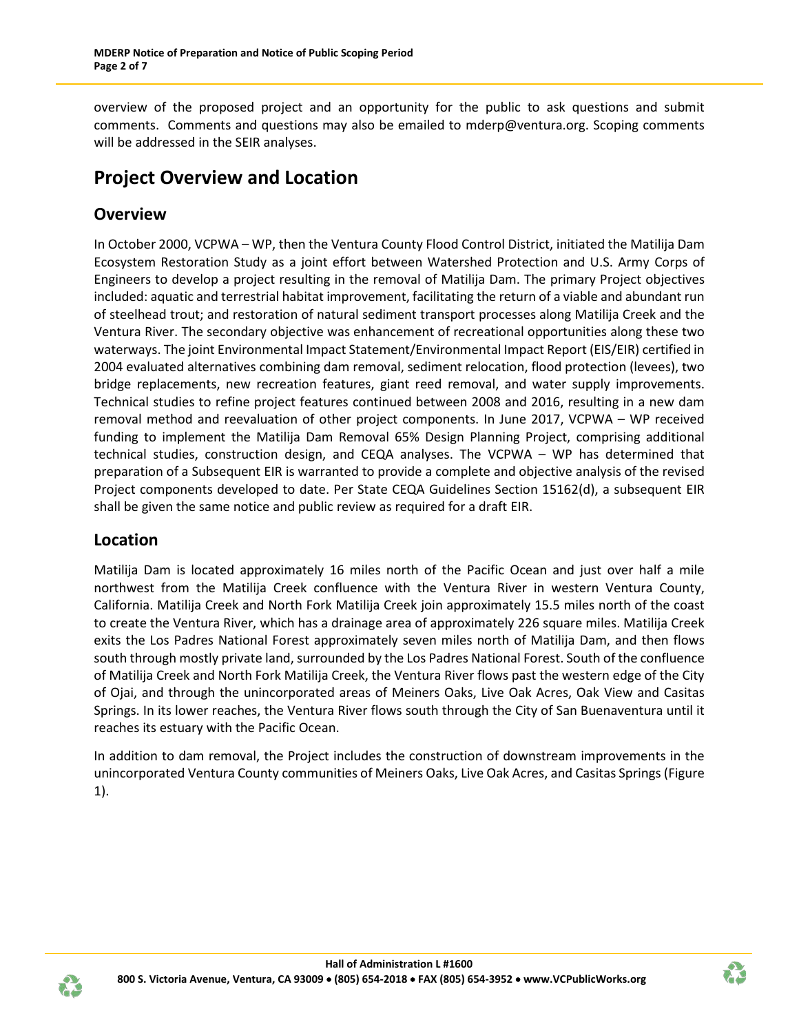overview of the proposed project and an opportunity for the public to ask questions and submit comments. Comments and questions may also be emailed to mderp@ventura.org. Scoping comments will be addressed in the SEIR analyses.

## **Project Overview and Location**

### **Overview**

In October 2000, VCPWA – WP, then the Ventura County Flood Control District, initiated the Matilija Dam Ecosystem Restoration Study as a joint effort between Watershed Protection and U.S. Army Corps of Engineers to develop a project resulting in the removal of Matilija Dam. The primary Project objectives included: aquatic and terrestrial habitat improvement, facilitating the return of a viable and abundant run of steelhead trout; and restoration of natural sediment transport processes along Matilija Creek and the Ventura River. The secondary objective was enhancement of recreational opportunities along these two waterways. The joint Environmental Impact Statement/Environmental Impact Report (EIS/EIR) certified in 2004 evaluated alternatives combining dam removal, sediment relocation, flood protection (levees), two bridge replacements, new recreation features, giant reed removal, and water supply improvements. Technical studies to refine project features continued between 2008 and 2016, resulting in a new dam removal method and reevaluation of other project components. In June 2017, VCPWA – WP received funding to implement the Matilija Dam Removal 65% Design Planning Project, comprising additional technical studies, construction design, and CEQA analyses. The VCPWA – WP has determined that preparation of a Subsequent EIR is warranted to provide a complete and objective analysis of the revised Project components developed to date. Per State CEQA Guidelines Section 15162(d), a subsequent EIR shall be given the same notice and public review as required for a draft EIR.

#### **Location**

Matilija Dam is located approximately 16 miles north of the Pacific Ocean and just over half a mile northwest from the Matilija Creek confluence with the Ventura River in western Ventura County, California. Matilija Creek and North Fork Matilija Creek join approximately 15.5 miles north of the coast to create the Ventura River, which has a drainage area of approximately 226 square miles. Matilija Creek exits the Los Padres National Forest approximately seven miles north of Matilija Dam, and then flows south through mostly private land, surrounded by the Los Padres National Forest. South of the confluence of Matilija Creek and North Fork Matilija Creek, the Ventura River flows past the western edge of the City of Ojai, and through the unincorporated areas of Meiners Oaks, Live Oak Acres, Oak View and Casitas Springs. In its lower reaches, the Ventura River flows south through the City of San Buenaventura until it reaches its estuary with the Pacific Ocean.

In addition to dam removal, the Project includes the construction of downstream improvements in the unincorporated Ventura County communities of Meiners Oaks, Live Oak Acres, and Casitas Springs (Figure 1).



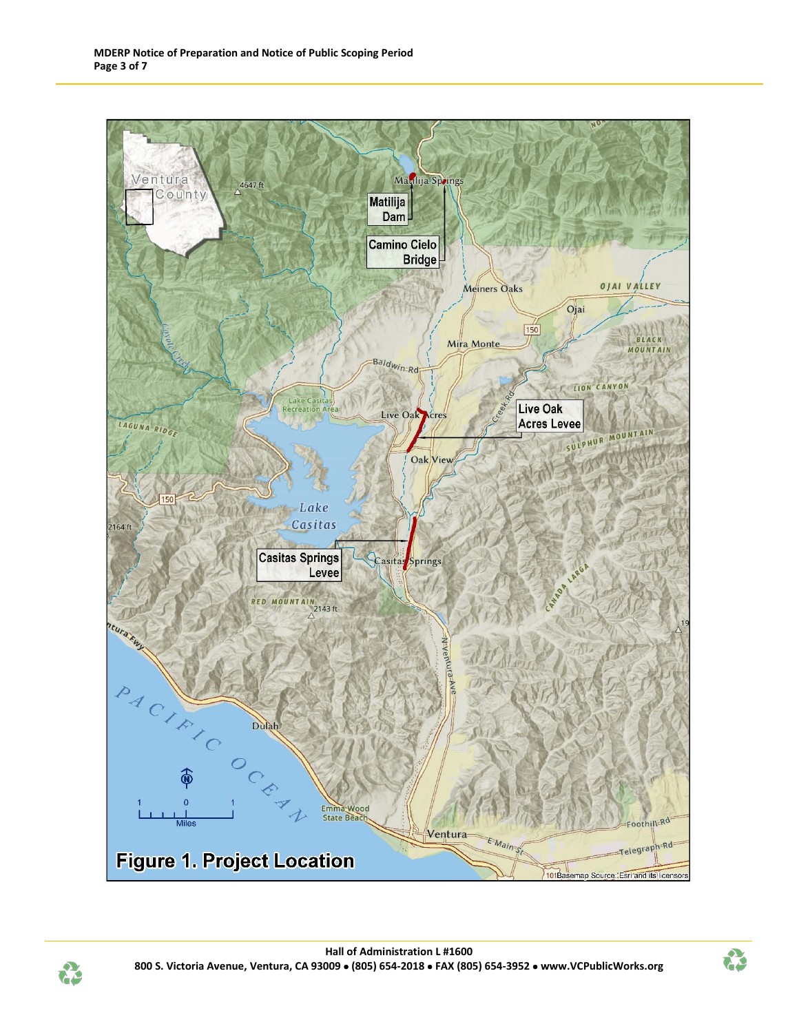



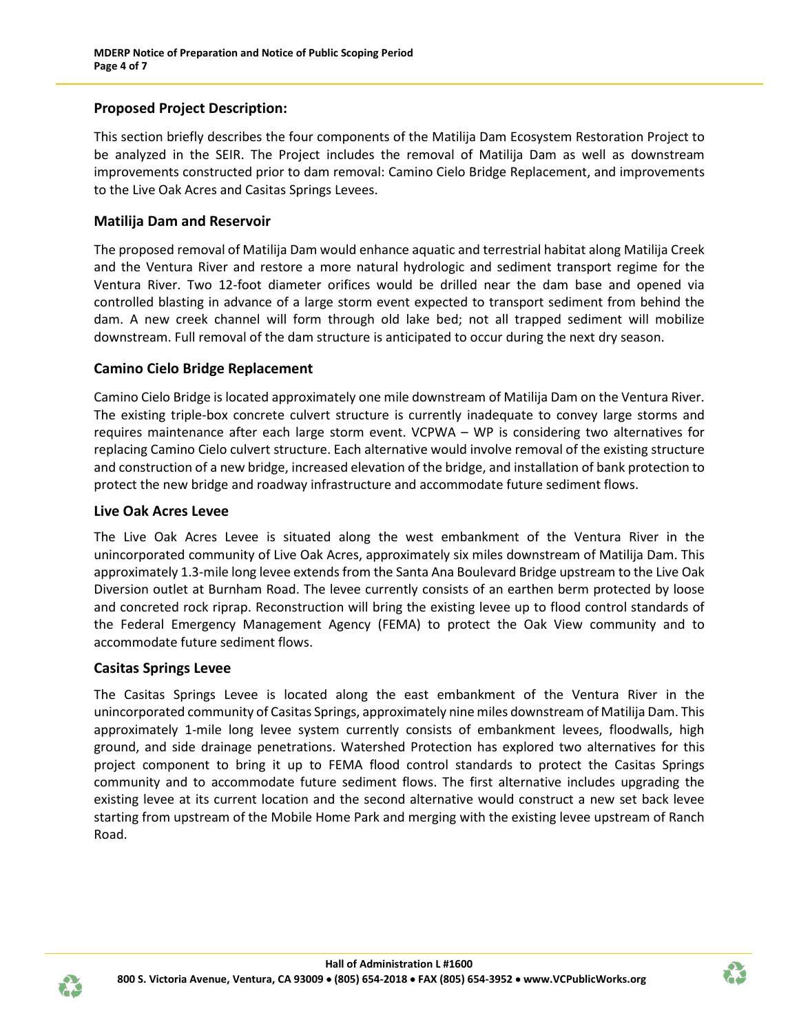#### **Proposed Project Description:**

This section briefly describes the four components of the Matilija Dam Ecosystem Restoration Project to be analyzed in the SEIR. The Project includes the removal of Matilija Dam as well as downstream improvements constructed prior to dam removal: Camino Cielo Bridge Replacement, and improvements to the Live Oak Acres and Casitas Springs Levees.

#### **Matilija Dam and Reservoir**

The proposed removal of Matilija Dam would enhance aquatic and terrestrial habitat along Matilija Creek and the Ventura River and restore a more natural hydrologic and sediment transport regime for the Ventura River. Two 12-foot diameter orifices would be drilled near the dam base and opened via controlled blasting in advance of a large storm event expected to transport sediment from behind the dam. A new creek channel will form through old lake bed; not all trapped sediment will mobilize downstream. Full removal of the dam structure is anticipated to occur during the next dry season.

#### **Camino Cielo Bridge Replacement**

Camino Cielo Bridge is located approximately one mile downstream of Matilija Dam on the Ventura River. The existing triple-box concrete culvert structure is currently inadequate to convey large storms and requires maintenance after each large storm event. VCPWA – WP is considering two alternatives for replacing Camino Cielo culvert structure. Each alternative would involve removal of the existing structure and construction of a new bridge, increased elevation of the bridge, and installation of bank protection to protect the new bridge and roadway infrastructure and accommodate future sediment flows.

#### **Live Oak Acres Levee**

The Live Oak Acres Levee is situated along the west embankment of the Ventura River in the unincorporated community of Live Oak Acres, approximately six miles downstream of Matilija Dam. This approximately 1.3-mile long levee extends from the Santa Ana Boulevard Bridge upstream to the Live Oak Diversion outlet at Burnham Road. The levee currently consists of an earthen berm protected by loose and concreted rock riprap. Reconstruction will bring the existing levee up to flood control standards of the Federal Emergency Management Agency (FEMA) to protect the Oak View community and to accommodate future sediment flows.

#### **Casitas Springs Levee**

The Casitas Springs Levee is located along the east embankment of the Ventura River in the unincorporated community of Casitas Springs, approximately nine miles downstream of Matilija Dam. This approximately 1-mile long levee system currently consists of embankment levees, floodwalls, high ground, and side drainage penetrations. Watershed Protection has explored two alternatives for this project component to bring it up to FEMA flood control standards to protect the Casitas Springs community and to accommodate future sediment flows. The first alternative includes upgrading the existing levee at its current location and the second alternative would construct a new set back levee starting from upstream of the Mobile Home Park and merging with the existing levee upstream of Ranch Road.



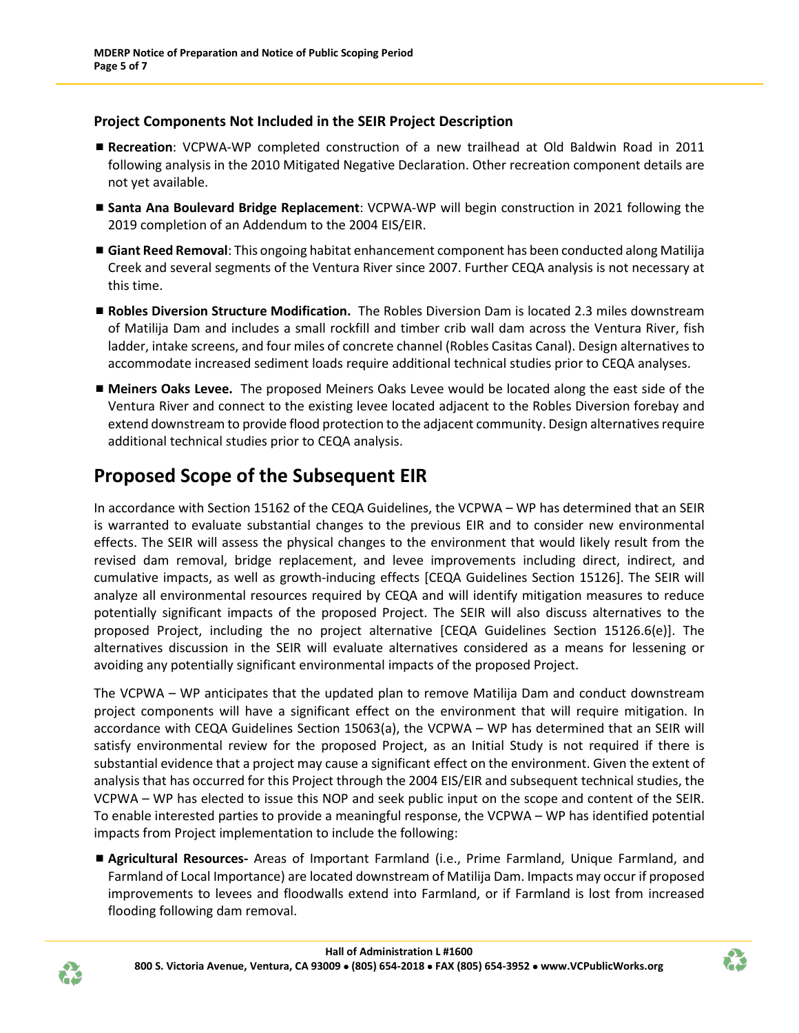#### **Project Components Not Included in the SEIR Project Description**

- **Recreation**: VCPWA-WP completed construction of a new trailhead at Old Baldwin Road in 2011 following analysis in the 2010 Mitigated Negative Declaration. Other recreation component details are not yet available.
- **Santa Ana Boulevard Bridge Replacement**: VCPWA-WP will begin construction in 2021 following the 2019 completion of an Addendum to the 2004 EIS/EIR.
- **Giant Reed Removal**: This ongoing habitat enhancement component has been conducted along Matilija Creek and several segments of the Ventura River since 2007. Further CEQA analysis is not necessary at this time.
- **Robles Diversion Structure Modification.** The Robles Diversion Dam is located 2.3 miles downstream of Matilija Dam and includes a small rockfill and timber crib wall dam across the Ventura River, fish ladder, intake screens, and four miles of concrete channel (Robles Casitas Canal). Design alternatives to accommodate increased sediment loads require additional technical studies prior to CEQA analyses.
- **Meiners Oaks Levee.** The proposed Meiners Oaks Levee would be located along the east side of the Ventura River and connect to the existing levee located adjacent to the Robles Diversion forebay and extend downstream to provide flood protection to the adjacent community. Design alternatives require additional technical studies prior to CEQA analysis.

## **Proposed Scope of the Subsequent EIR**

In accordance with Section 15162 of the CEQA Guidelines, the VCPWA – WP has determined that an SEIR is warranted to evaluate substantial changes to the previous EIR and to consider new environmental effects. The SEIR will assess the physical changes to the environment that would likely result from the revised dam removal, bridge replacement, and levee improvements including direct, indirect, and cumulative impacts, as well as growth-inducing effects [CEQA Guidelines Section 15126]. The SEIR will analyze all environmental resources required by CEQA and will identify mitigation measures to reduce potentially significant impacts of the proposed Project. The SEIR will also discuss alternatives to the proposed Project, including the no project alternative [CEQA Guidelines Section 15126.6(e)]. The alternatives discussion in the SEIR will evaluate alternatives considered as a means for lessening or avoiding any potentially significant environmental impacts of the proposed Project.

The VCPWA – WP anticipates that the updated plan to remove Matilija Dam and conduct downstream project components will have a significant effect on the environment that will require mitigation. In accordance with CEQA Guidelines Section 15063(a), the VCPWA – WP has determined that an SEIR will satisfy environmental review for the proposed Project, as an Initial Study is not required if there is substantial evidence that a project may cause a significant effect on the environment. Given the extent of analysis that has occurred for this Project through the 2004 EIS/EIR and subsequent technical studies, the VCPWA – WP has elected to issue this NOP and seek public input on the scope and content of the SEIR. To enable interested parties to provide a meaningful response, the VCPWA – WP has identified potential impacts from Project implementation to include the following:

 **Agricultural Resources-** Areas of Important Farmland (i.e., Prime Farmland, Unique Farmland, and Farmland of Local Importance) are located downstream of Matilija Dam. Impacts may occur if proposed improvements to levees and floodwalls extend into Farmland, or if Farmland is lost from increased flooding following dam removal.



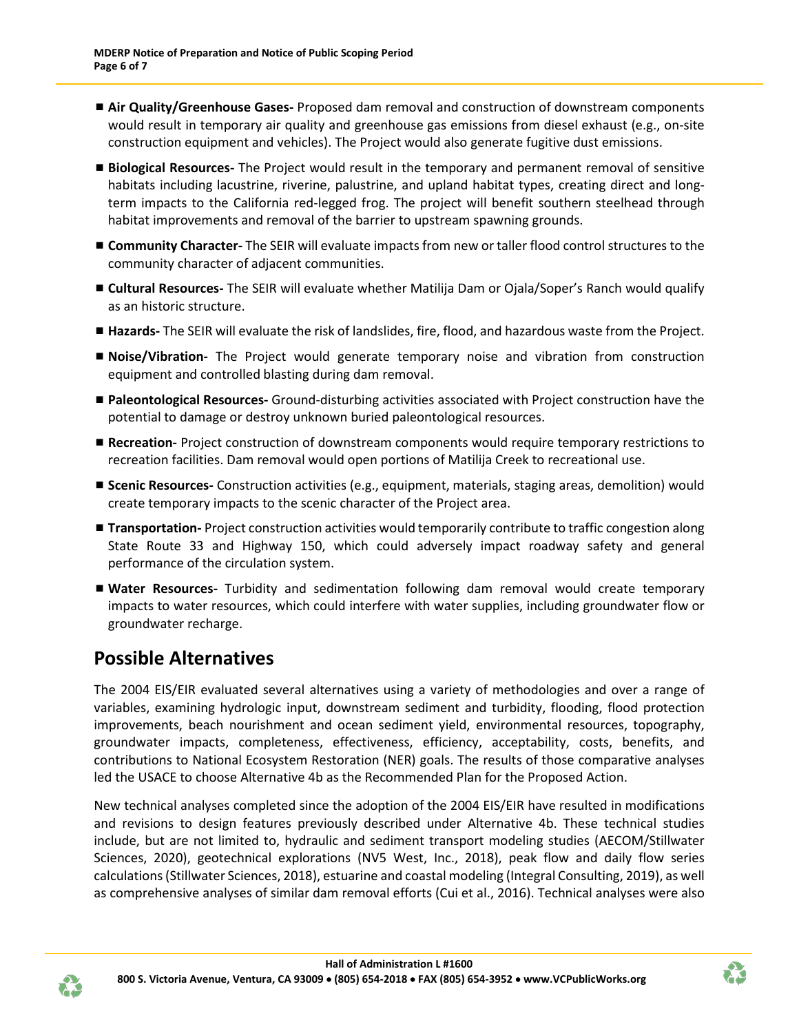- **Air Quality/Greenhouse Gases-** Proposed dam removal and construction of downstream components would result in temporary air quality and greenhouse gas emissions from diesel exhaust (e.g., on-site construction equipment and vehicles). The Project would also generate fugitive dust emissions.
- **Biological Resources-** The Project would result in the temporary and permanent removal of sensitive habitats including lacustrine, riverine, palustrine, and upland habitat types, creating direct and longterm impacts to the California red-legged frog. The project will benefit southern steelhead through habitat improvements and removal of the barrier to upstream spawning grounds.
- **Community Character-** The SEIR will evaluate impacts from new or taller flood control structures to the community character of adjacent communities.
- **Cultural Resources-** The SEIR will evaluate whether Matilija Dam or Ojala/Soper's Ranch would qualify as an historic structure.
- **Hazards-** The SEIR will evaluate the risk of landslides, fire, flood, and hazardous waste from the Project.
- **Noise/Vibration-** The Project would generate temporary noise and vibration from construction equipment and controlled blasting during dam removal.
- **Paleontological Resources-** Ground-disturbing activities associated with Project construction have the potential to damage or destroy unknown buried paleontological resources.
- **Recreation-** Project construction of downstream components would require temporary restrictions to recreation facilities. Dam removal would open portions of Matilija Creek to recreational use.
- **Scenic Resources-** Construction activities (e.g., equipment, materials, staging areas, demolition) would create temporary impacts to the scenic character of the Project area.
- **Transportation-** Project construction activities would temporarily contribute to traffic congestion along State Route 33 and Highway 150, which could adversely impact roadway safety and general performance of the circulation system.
- **Water Resources-** Turbidity and sedimentation following dam removal would create temporary impacts to water resources, which could interfere with water supplies, including groundwater flow or groundwater recharge.

## **Possible Alternatives**

The 2004 EIS/EIR evaluated several alternatives using a variety of methodologies and over a range of variables, examining hydrologic input, downstream sediment and turbidity, flooding, flood protection improvements, beach nourishment and ocean sediment yield, environmental resources, topography, groundwater impacts, completeness, effectiveness, efficiency, acceptability, costs, benefits, and contributions to National Ecosystem Restoration (NER) goals. The results of those comparative analyses led the USACE to choose Alternative 4b as the Recommended Plan for the Proposed Action.

New technical analyses completed since the adoption of the 2004 EIS/EIR have resulted in modifications and revisions to design features previously described under Alternative 4b. These technical studies include, but are not limited to, hydraulic and sediment transport modeling studies (AECOM/Stillwater Sciences, 2020), geotechnical explorations (NV5 West, Inc., 2018), peak flow and daily flow series calculations (Stillwater Sciences, 2018), estuarine and coastal modeling (Integral Consulting, 2019), as well as comprehensive analyses of similar dam removal efforts (Cui et al., 2016). Technical analyses were also